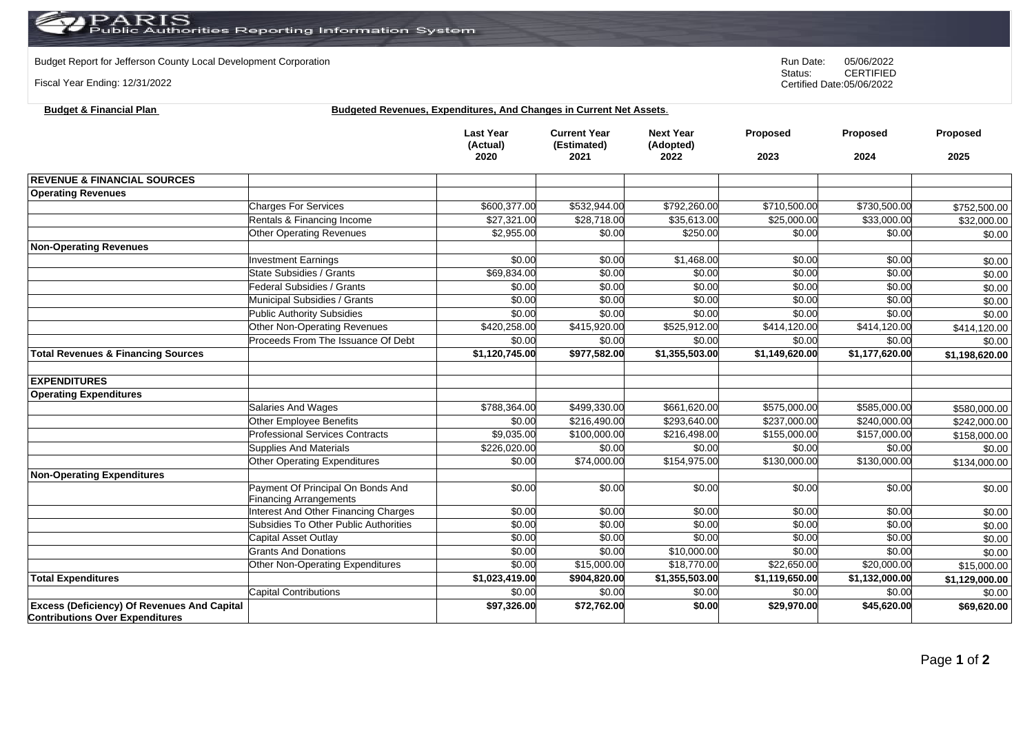## $\operatorname{PARIS}_{\text{Public Authorities}}$  Reporting Information System

**Budget & Financial Plan Budgeted Revenues, Expenditures, And Changes in Current Net Assets**.

Budget Report for Jefferson County Local Development Corporation **Run Date:** 05/06/2022<br>Status: CERTIFIED

Fiscal Year Ending: 12/31/2022

CERTIFIED Certified Date:05/06/2022

|                                                                                              |                                        | <b>Last Year</b><br>(Actual)<br>2020 | <b>Current Year</b><br>(Estimated)<br>2021 | <b>Next Year</b><br>(Adopted)<br>2022 | Proposed<br>2023 | <b>Proposed</b><br>2024 | Proposed<br>2025 |
|----------------------------------------------------------------------------------------------|----------------------------------------|--------------------------------------|--------------------------------------------|---------------------------------------|------------------|-------------------------|------------------|
|                                                                                              |                                        |                                      |                                            |                                       |                  |                         |                  |
| <b>REVENUE &amp; FINANCIAL SOURCES</b>                                                       |                                        |                                      |                                            |                                       |                  |                         |                  |
| <b>Operating Revenues</b>                                                                    |                                        |                                      |                                            |                                       |                  |                         |                  |
|                                                                                              | <b>Charges For Services</b>            | \$600,377.00                         | \$532,944.00                               | \$792,260.00                          | \$710,500.00     | \$730,500.00            | \$752,500.00     |
|                                                                                              | Rentals & Financing Income             | \$27,321.00                          | \$28,718.00                                | \$35,613.00                           | \$25,000.00      | \$33,000.00             | \$32,000.00      |
|                                                                                              | <b>Other Operating Revenues</b>        | \$2,955.00                           | \$0.00                                     | \$250.00                              | \$0.00           | \$0.00                  | \$0.00           |
| <b>Non-Operating Revenues</b>                                                                |                                        |                                      |                                            |                                       |                  |                         |                  |
|                                                                                              | <b>Investment Earnings</b>             | \$0.00                               | \$0.00                                     | \$1,468.00                            | \$0.00           | \$0.00                  | \$0.00           |
|                                                                                              | State Subsidies / Grants               | \$69,834.00                          | \$0.00                                     | \$0.00                                | \$0.00           | \$0.00                  | \$0.00           |
|                                                                                              | <b>Federal Subsidies / Grants</b>      | \$0.00                               | \$0.00                                     | \$0.00                                | \$0.00           | \$0.00                  | \$0.00           |
|                                                                                              | Municipal Subsidies / Grants           | \$0.00                               | \$0.00                                     | \$0.00                                | \$0.00           | \$0.00                  | \$0.00           |
|                                                                                              | <b>Public Authority Subsidies</b>      | \$0.00                               | \$0.00                                     | \$0.00                                | \$0.00           | \$0.00                  | \$0.00           |
|                                                                                              | <b>Other Non-Operating Revenues</b>    | \$420,258.00                         | \$415,920.00                               | \$525,912.00                          | \$414,120.00     | \$414,120.00            | \$414,120.00     |
|                                                                                              | Proceeds From The Issuance Of Debt     | \$0.00                               | \$0.00                                     | \$0.00                                | \$0.00           | \$0.00                  | \$0.00           |
| <b>Total Revenues &amp; Financing Sources</b>                                                |                                        | \$1,120,745.00                       | \$977,582.00                               | \$1,355,503.00                        | \$1,149,620.00   | \$1,177,620.00          | \$1,198,620.00   |
| <b>EXPENDITURES</b>                                                                          |                                        |                                      |                                            |                                       |                  |                         |                  |
| <b>Operating Expenditures</b>                                                                |                                        |                                      |                                            |                                       |                  |                         |                  |
|                                                                                              | Salaries And Wages                     | \$788,364.00                         | \$499,330.00                               | \$661,620.00                          | \$575,000.00     | \$585,000.00            |                  |
|                                                                                              | <b>Other Employee Benefits</b>         | \$0.00                               | \$216,490.00                               | \$293,640.00                          | \$237,000.00     | \$240,000.00            | \$580,000.00     |
|                                                                                              | <b>Professional Services Contracts</b> | \$9,035.00                           | \$100,000.00                               | \$216,498.00                          | \$155,000.00     | \$157,000.00            | \$242,000.00     |
|                                                                                              | <b>Supplies And Materials</b>          | \$226,020.00                         | \$0.00                                     | \$0.00                                | \$0.00           | \$0.00                  | \$158,000.00     |
|                                                                                              | <b>Other Operating Expenditures</b>    | \$0.00                               | \$74,000.00                                | \$154,975.00                          | \$130,000.00     | \$130,000.00            | \$0.00           |
|                                                                                              |                                        |                                      |                                            |                                       |                  |                         | \$134,000.00     |
| <b>Non-Operating Expenditures</b>                                                            | Payment Of Principal On Bonds And      | \$0.00                               | \$0.00                                     | \$0.00                                | \$0.00           | \$0.00                  |                  |
|                                                                                              | <b>Financing Arrangements</b>          |                                      |                                            |                                       |                  |                         | \$0.00           |
|                                                                                              | Interest And Other Financing Charges   | \$0.00                               | \$0.00                                     | \$0.00                                | \$0.00           | \$0.00                  | \$0.00           |
|                                                                                              | Subsidies To Other Public Authorities  | \$0.00                               | \$0.00                                     | \$0.00                                | \$0.00           | \$0.00                  | \$0.00           |
|                                                                                              | Capital Asset Outlay                   | \$0.00                               | \$0.00                                     | \$0.00                                | \$0.00           | \$0.00                  | \$0.00           |
|                                                                                              | <b>Grants And Donations</b>            | \$0.00                               | \$0.00                                     | \$10,000.00                           | \$0.00           | \$0.00                  | \$0.00           |
|                                                                                              | Other Non-Operating Expenditures       | \$0.00                               | \$15,000.00                                | \$18,770.00                           | \$22,650.00      | \$20,000.00             | \$15,000.00      |
| <b>Total Expenditures</b>                                                                    |                                        | \$1,023,419.00                       | \$904,820.00                               | \$1,355,503.00                        | \$1,119,650.00   | \$1,132,000.00          | \$1,129,000.00   |
|                                                                                              | <b>Capital Contributions</b>           | \$0.00                               | \$0.00                                     | \$0.00                                | \$0.00           | \$0.00                  | \$0.00           |
| <b>Excess (Deficiency) Of Revenues And Capital</b><br><b>Contributions Over Expenditures</b> |                                        | \$97,326.00                          | \$72,762.00                                | \$0.00                                | \$29,970.00      | \$45,620.00             | \$69,620.00      |